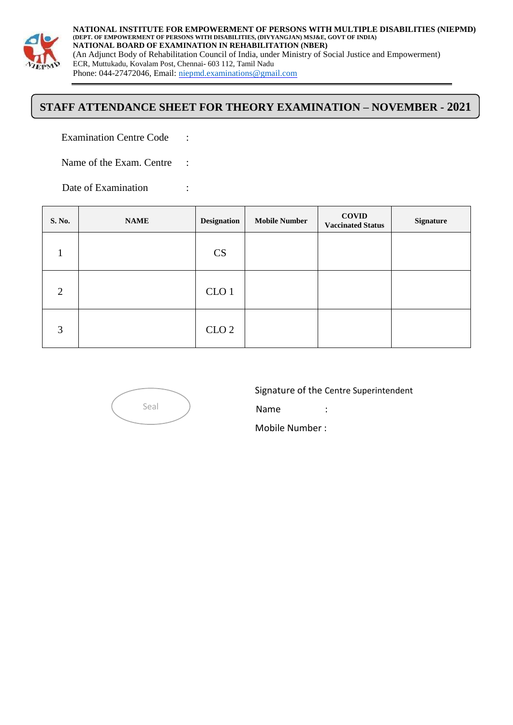

**NATIONAL INSTITUTE FOR EMPOWERMENT OF PERSONS WITH MULTIPLE DISABILITIES (NIEPMD) (DEPT. OF EMPOWERMENT OF PERSONS WITH DISABILITIES, (DIVYANGJAN) MSJ&E, GOVT OF INDIA) NATIONAL BOARD OF EXAMINATION IN REHABILITATION (NBER)** (An Adjunct Body of Rehabilitation Council of India, under Ministry of Social Justice and Empowerment) ECR, Muttukadu, Kovalam Post, Chennai- 603 112, Tamil Nadu Phone: 044-27472046, Email: [niepmd.examinations@gmail.com](mailto:niepmd.examinations@gmail.com)

## **STAFF ATTENDANCE SHEET FOR THEORY EXAMINATION – NOVEMBER - 2021**

Examination Centre Code :

Name of the Exam. Centre :

Date of Examination :

| S. No.         | <b>NAME</b> | <b>Designation</b> | <b>Mobile Number</b> | <b>COVID</b><br><b>Vaccinated Status</b> | <b>Signature</b> |
|----------------|-------------|--------------------|----------------------|------------------------------------------|------------------|
|                |             | <b>CS</b>          |                      |                                          |                  |
| $\overline{2}$ |             | CLO <sub>1</sub>   |                      |                                          |                  |
| 3              |             | CLO <sub>2</sub>   |                      |                                          |                  |



Signature of the Centre Superintendent

Name :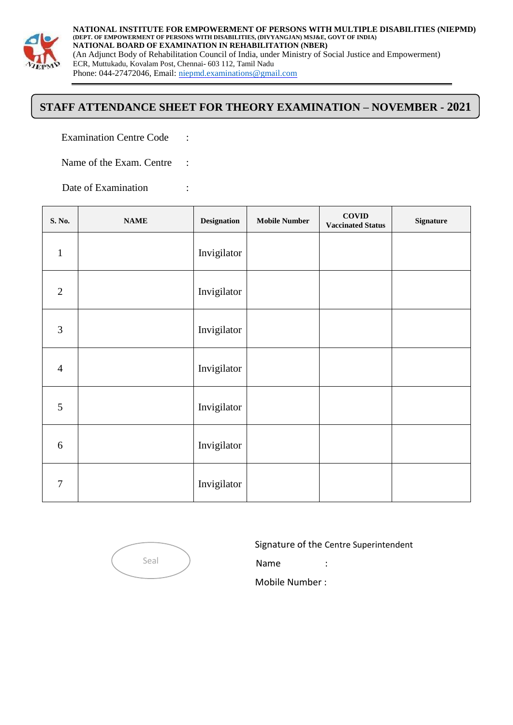

**NATIONAL INSTITUTE FOR EMPOWERMENT OF PERSONS WITH MULTIPLE DISABILITIES (NIEPMD) (DEPT. OF EMPOWERMENT OF PERSONS WITH DISABILITIES, (DIVYANGJAN) MSJ&E, GOVT OF INDIA) NATIONAL BOARD OF EXAMINATION IN REHABILITATION (NBER)** (An Adjunct Body of Rehabilitation Council of India, under Ministry of Social Justice and Empowerment) ECR, Muttukadu, Kovalam Post, Chennai- 603 112, Tamil Nadu Phone: 044-27472046, Email: [niepmd.examinations@gmail.com](mailto:niepmd.examinations@gmail.com)

## **STAFF ATTENDANCE SHEET FOR THEORY EXAMINATION – NOVEMBER - 2021**

Examination Centre Code :

Name of the Exam. Centre :

Date of Examination :

| S. No.         | $\mathbf{NAME}$ | Designation | <b>Mobile Number</b> | $\bf COVID$<br><b>Vaccinated Status</b> | <b>Signature</b> |
|----------------|-----------------|-------------|----------------------|-----------------------------------------|------------------|
| $\mathbf{1}$   |                 | Invigilator |                      |                                         |                  |
| $\overline{2}$ |                 | Invigilator |                      |                                         |                  |
| $\mathfrak{Z}$ |                 | Invigilator |                      |                                         |                  |
| $\overline{4}$ |                 | Invigilator |                      |                                         |                  |
| 5              |                 | Invigilator |                      |                                         |                  |
| 6              |                 | Invigilator |                      |                                         |                  |
| 7              |                 | Invigilator |                      |                                         |                  |

Seal

Signature of the Centre Superintendent

Name :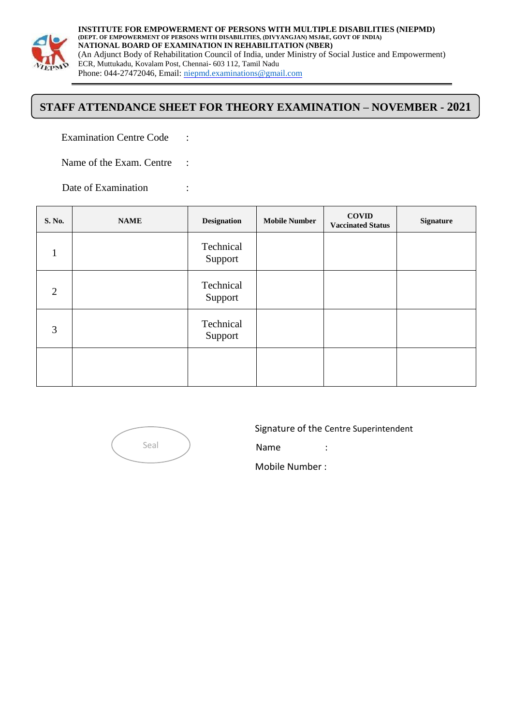

**INSTITUTE FOR EMPOWERMENT OF PERSONS WITH MULTIPLE DISABILITIES (NIEPMD) (DEPT. OF EMPOWERMENT OF PERSONS WITH DISABILITIES, (DIVYANGJAN) MSJ&E, GOVT OF INDIA) NATIONAL BOARD OF EXAMINATION IN REHABILITATION (NBER)** (An Adjunct Body of Rehabilitation Council of India, under Ministry of Social Justice and Empowerment) ECR, Muttukadu, Kovalam Post, Chennai- 603 112, Tamil Nadu Phone: 044-27472046, Email: [niepmd.examinations@gmail.com](mailto:niepmd.examinations@gmail.com)

## **STAFF ATTENDANCE SHEET FOR THEORY EXAMINATION – NOVEMBER - 2021**

Examination Centre Code :

Name of the Exam. Centre :

Date of Examination :

| S. No.         | <b>NAME</b> | <b>Designation</b>   | <b>Mobile Number</b> | <b>COVID</b><br><b>Vaccinated Status</b> | <b>Signature</b> |
|----------------|-------------|----------------------|----------------------|------------------------------------------|------------------|
| 1              |             | Technical<br>Support |                      |                                          |                  |
| $\overline{2}$ |             | Technical<br>Support |                      |                                          |                  |
| 3              |             | Technical<br>Support |                      |                                          |                  |
|                |             |                      |                      |                                          |                  |



Signature of the Centre Superintendent

Name :